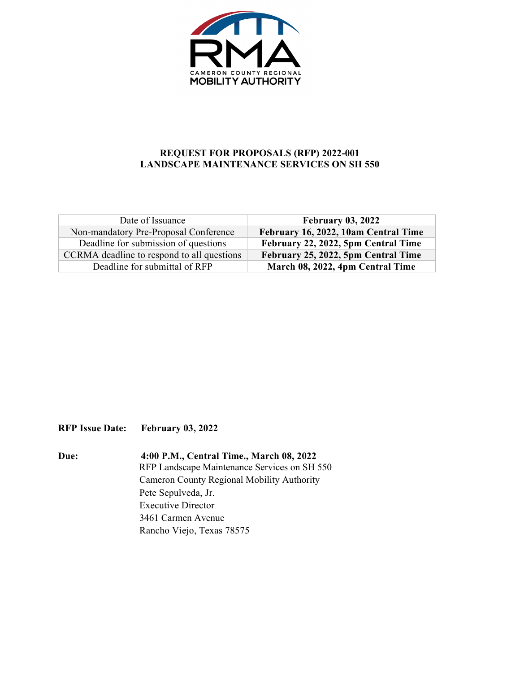

## **REQUEST FOR PROPOSALS (RFP) 2022-001 LANDSCAPE MAINTENANCE SERVICES ON SH 550**

| Date of Issuance                           | <b>February 03, 2022</b>             |
|--------------------------------------------|--------------------------------------|
| Non-mandatory Pre-Proposal Conference      | February 16, 2022, 10am Central Time |
| Deadline for submission of questions       | February 22, 2022, 5pm Central Time  |
| CCRMA deadline to respond to all questions | February 25, 2022, 5pm Central Time  |
| Deadline for submittal of RFP              | March 08, 2022, 4pm Central Time     |

**RFP Issue Date: February 03, 2022**

**Due: 4:00 P.M., Central Time., March 08, 2022** RFP Landscape Maintenance Services on SH 550 Cameron County Regional Mobility Authority Pete Sepulveda, Jr. Executive Director 3461 Carmen Avenue Rancho Viejo, Texas 78575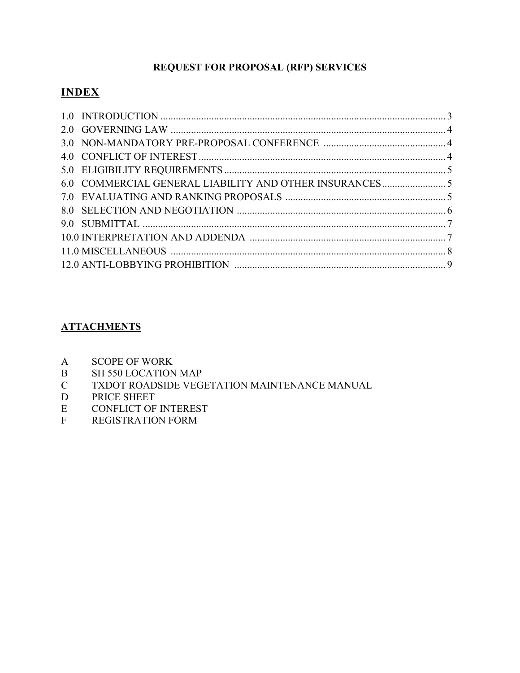## **REQUEST FOR PROPOSAL (RFP) SERVICES**

# **INDEX**

## **ATTACHMENTS**

- A SCOPE OF WORK
- B SH 550 LOCATION MAP<br>C TXDOT ROADSIDE VEG
- TXDOT ROADSIDE VEGETATION MAINTENANCE MANUAL
- D PRICE SHEET
- E CONFLICT OF INTEREST
- F REGISTRATION FORM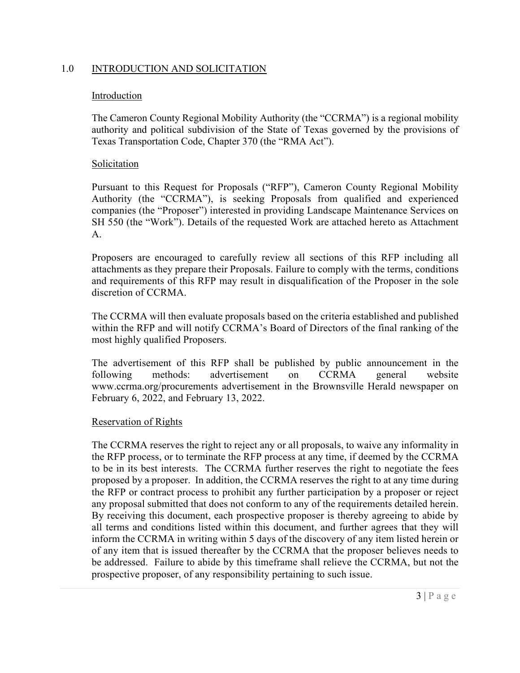## 1.0 INTRODUCTION AND SOLICITATION

#### **Introduction**

The Cameron County Regional Mobility Authority (the "CCRMA") is a regional mobility authority and political subdivision of the State of Texas governed by the provisions of Texas Transportation Code, Chapter 370 (the "RMA Act").

## Solicitation

Pursuant to this Request for Proposals ("RFP"), Cameron County Regional Mobility Authority (the "CCRMA"), is seeking Proposals from qualified and experienced companies (the "Proposer") interested in providing Landscape Maintenance Services on SH 550 (the "Work"). Details of the requested Work are attached hereto as Attachment A.

Proposers are encouraged to carefully review all sections of this RFP including all attachments as they prepare their Proposals. Failure to comply with the terms, conditions and requirements of this RFP may result in disqualification of the Proposer in the sole discretion of CCRMA.

The CCRMA will then evaluate proposals based on the criteria established and published within the RFP and will notify CCRMA's Board of Directors of the final ranking of the most highly qualified Proposers.

The advertisement of this RFP shall be published by public announcement in the following methods: advertisement on CCRMA general website www.ccrma.org/procurements advertisement in the Brownsville Herald newspaper on February 6, 2022, and February 13, 2022.

#### Reservation of Rights

The CCRMA reserves the right to reject any or all proposals, to waive any informality in the RFP process, or to terminate the RFP process at any time, if deemed by the CCRMA to be in its best interests. The CCRMA further reserves the right to negotiate the fees proposed by a proposer. In addition, the CCRMA reserves the right to at any time during the RFP or contract process to prohibit any further participation by a proposer or reject any proposal submitted that does not conform to any of the requirements detailed herein. By receiving this document, each prospective proposer is thereby agreeing to abide by all terms and conditions listed within this document, and further agrees that they will inform the CCRMA in writing within 5 days of the discovery of any item listed herein or of any item that is issued thereafter by the CCRMA that the proposer believes needs to be addressed. Failure to abide by this timeframe shall relieve the CCRMA, but not the prospective proposer, of any responsibility pertaining to such issue.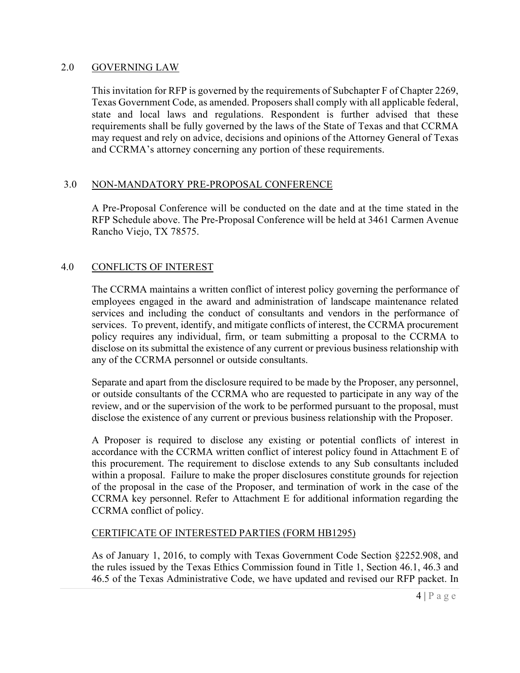#### 2.0 GOVERNING LAW

This invitation for RFP is governed by the requirements of Subchapter F of Chapter 2269, Texas Government Code, as amended. Proposers shall comply with all applicable federal, state and local laws and regulations. Respondent is further advised that these requirements shall be fully governed by the laws of the State of Texas and that CCRMA may request and rely on advice, decisions and opinions of the Attorney General of Texas and CCRMA's attorney concerning any portion of these requirements.

## 3.0 NON-MANDATORY PRE-PROPOSAL CONFERENCE

A Pre-Proposal Conference will be conducted on the date and at the time stated in the RFP Schedule above. The Pre-Proposal Conference will be held at 3461 Carmen Avenue Rancho Viejo, TX 78575.

## 4.0 CONFLICTS OF INTEREST

The CCRMA maintains a written conflict of interest policy governing the performance of employees engaged in the award and administration of landscape maintenance related services and including the conduct of consultants and vendors in the performance of services. To prevent, identify, and mitigate conflicts of interest, the CCRMA procurement policy requires any individual, firm, or team submitting a proposal to the CCRMA to disclose on its submittal the existence of any current or previous business relationship with any of the CCRMA personnel or outside consultants.

Separate and apart from the disclosure required to be made by the Proposer, any personnel, or outside consultants of the CCRMA who are requested to participate in any way of the review, and or the supervision of the work to be performed pursuant to the proposal, must disclose the existence of any current or previous business relationship with the Proposer.

A Proposer is required to disclose any existing or potential conflicts of interest in accordance with the CCRMA written conflict of interest policy found in Attachment E of this procurement. The requirement to disclose extends to any Sub consultants included within a proposal. Failure to make the proper disclosures constitute grounds for rejection of the proposal in the case of the Proposer, and termination of work in the case of the CCRMA key personnel. Refer to Attachment E for additional information regarding the CCRMA conflict of policy.

#### CERTIFICATE OF INTERESTED PARTIES (FORM HB1295)

As of January 1, 2016, to comply with Texas Government Code Section §2252.908, and the rules issued by the Texas Ethics Commission found in Title 1, Section 46.1, 46.3 and 46.5 of the Texas Administrative Code, we have updated and revised our RFP packet. In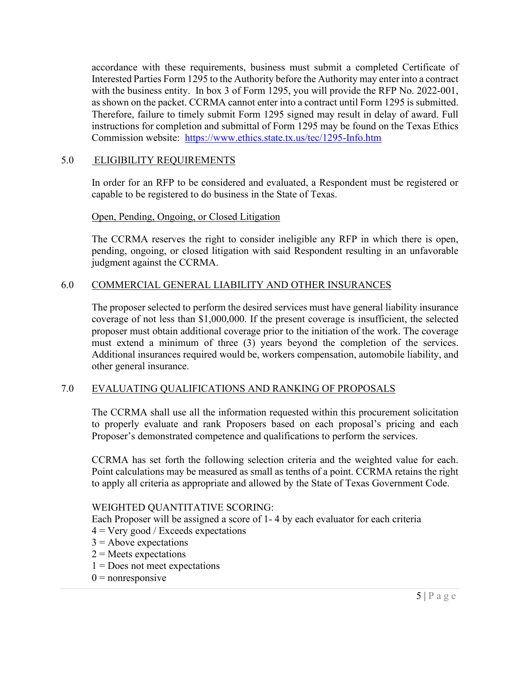accordance with these requirements, business must submit a completed Certificate of Interested Parties Form 1295 to the Authority before the Authority may enter into a contract with the business entity. In box 3 of Form 1295, you will provide the RFP No. 2022-001, as shown on the packet. CCRMA cannot enter into a contract until Form 1295 is submitted. Therefore, failure to timely submit Form 1295 signed may result in delay of award. Full instructions for completion and submittal of Form 1295 may be found on the Texas Ethics Commission website: <https://www.ethics.state.tx.us/tec/1295-Info.htm>

## 5.0 ELIGIBILITY REQUIREMENTS

In order for an RFP to be considered and evaluated, a Respondent must be registered or capable to be registered to do business in the State of Texas.

## Open, Pending, Ongoing, or Closed Litigation

The CCRMA reserves the right to consider ineligible any RFP in which there is open, pending, ongoing, or closed litigation with said Respondent resulting in an unfavorable judgment against the CCRMA.

## 6.0 COMMERCIAL GENERAL LIABILITY AND OTHER INSURANCES

The proposer selected to perform the desired services must have general liability insurance coverage of not less than \$1,000,000. If the present coverage is insufficient, the selected proposer must obtain additional coverage prior to the initiation of the work. The coverage must extend a minimum of three (3) years beyond the completion of the services. Additional insurances required would be, workers compensation, automobile liability, and other general insurance.

## 7.0 EVALUATING QUALIFICATIONS AND RANKING OF PROPOSALS

The CCRMA shall use all the information requested within this procurement solicitation to properly evaluate and rank Proposers based on each proposal's pricing and each Proposer's demonstrated competence and qualifications to perform the services.

CCRMA has set forth the following selection criteria and the weighted value for each. Point calculations may be measured as small as tenths of a point. CCRMA retains the right to apply all criteria as appropriate and allowed by the State of Texas Government Code.

## WEIGHTED QUANTITATIVE SCORING:

Each Proposer will be assigned a score of 1- 4 by each evaluator for each criteria

- $4 = \text{Very good} / \text{Exceeds expectations}$
- $3 =$  Above expectations
- $2$  = Meets expectations
- $1 =$ Does not meet expectations
- $0$  = nonresponsive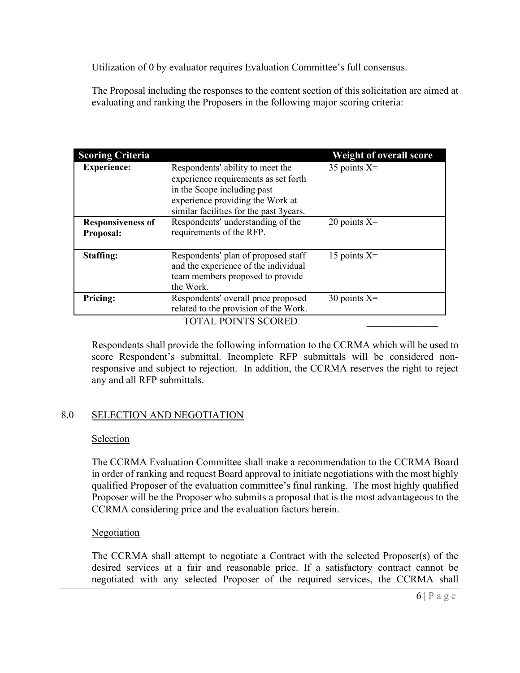Utilization of 0 by evaluator requires Evaluation Committee's full consensus.

The Proposal including the responses to the content section of this solicitation are aimed at evaluating and ranking the Proposers in the following major scoring criteria:

| <b>Scoring Criteria</b>               |                                                                                                                                                                                        | <b>Weight of overall score</b> |
|---------------------------------------|----------------------------------------------------------------------------------------------------------------------------------------------------------------------------------------|--------------------------------|
| <b>Experience:</b>                    | Respondents' ability to meet the<br>experience requirements as set forth<br>in the Scope including past<br>experience providing the Work at<br>similar facilities for the past 3years. | 35 points $X=$                 |
| <b>Responsiveness of</b><br>Proposal: | Respondents' understanding of the<br>requirements of the RFP.                                                                                                                          | 20 points $X=$                 |
| Staffing:                             | Respondents' plan of proposed staff<br>and the experience of the individual<br>team members proposed to provide<br>the Work.                                                           | 15 points $X=$                 |
| Pricing:                              | Respondents' overall price proposed<br>related to the provision of the Work.                                                                                                           | 30 points $X=$                 |
|                                       | <b>TOTAL POINTS SCORED</b>                                                                                                                                                             |                                |

Respondents shall provide the following information to the CCRMA which will be used to score Respondent's submittal. Incomplete RFP submittals will be considered nonresponsive and subject to rejection. In addition, the CCRMA reserves the right to reject any and all RFP submittals.

## 8.0 SELECTION AND NEGOTIATION

#### Selection

The CCRMA Evaluation Committee shall make a recommendation to the CCRMA Board in order of ranking and request Board approval to initiate negotiations with the most highly qualified Proposer of the evaluation committee's final ranking. The most highly qualified Proposer will be the Proposer who submits a proposal that is the most advantageous to the CCRMA considering price and the evaluation factors herein.

## **Negotiation**

The CCRMA shall attempt to negotiate a Contract with the selected Proposer(s) of the desired services at a fair and reasonable price. If a satisfactory contract cannot be negotiated with any selected Proposer of the required services, the CCRMA shall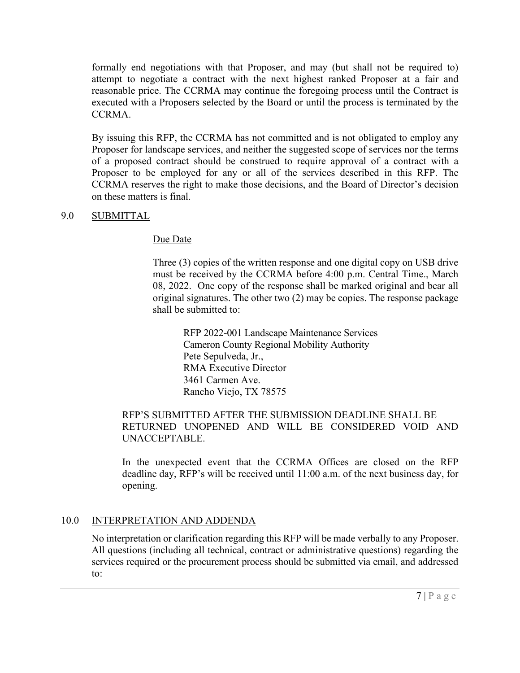formally end negotiations with that Proposer, and may (but shall not be required to) attempt to negotiate a contract with the next highest ranked Proposer at a fair and reasonable price. The CCRMA may continue the foregoing process until the Contract is executed with a Proposers selected by the Board or until the process is terminated by the CCRMA.

By issuing this RFP, the CCRMA has not committed and is not obligated to employ any Proposer for landscape services, and neither the suggested scope of services nor the terms of a proposed contract should be construed to require approval of a contract with a Proposer to be employed for any or all of the services described in this RFP. The CCRMA reserves the right to make those decisions, and the Board of Director's decision on these matters is final.

#### 9.0 SUBMITTAL

#### Due Date

Three (3) copies of the written response and one digital copy on USB drive must be received by the CCRMA before 4:00 p.m. Central Time., March 08, 2022. One copy of the response shall be marked original and bear all original signatures. The other two (2) may be copies. The response package shall be submitted to:

RFP 2022-001 Landscape Maintenance Services Cameron County Regional Mobility Authority Pete Sepulveda, Jr., RMA Executive Director 3461 Carmen Ave. Rancho Viejo, TX 78575

## RFP'S SUBMITTED AFTER THE SUBMISSION DEADLINE SHALL BE RETURNED UNOPENED AND WILL BE CONSIDERED VOID AND UNACCEPTABLE.

In the unexpected event that the CCRMA Offices are closed on the RFP deadline day, RFP's will be received until 11:00 a.m. of the next business day, for opening.

#### 10.0 INTERPRETATION AND ADDENDA

No interpretation or clarification regarding this RFP will be made verbally to any Proposer. All questions (including all technical, contract or administrative questions) regarding the services required or the procurement process should be submitted via email, and addressed to: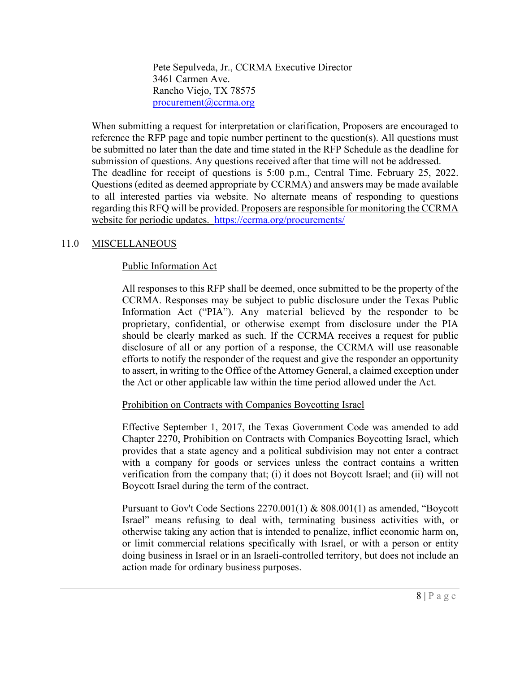Pete Sepulveda, Jr., CCRMA Executive Director 3461 Carmen Ave. Rancho Viejo, TX 78575 [procurement@ccrma.org](mailto:procurement@ccrma.org)

When submitting a request for interpretation or clarification, Proposers are encouraged to reference the RFP page and topic number pertinent to the question(s). All questions must be submitted no later than the date and time stated in the RFP Schedule as the deadline for submission of questions. Any questions received after that time will not be addressed. The deadline for receipt of questions is 5:00 p.m., Central Time. February 25, 2022. Questions (edited as deemed appropriate by CCRMA) and answers may be made available to all interested parties via website. No alternate means of responding to questions regarding this RFQ will be provided. Proposers are responsible for monitoring the CCRMA website for periodic updates. <https://ccrma.org/procurements/>

## 11.0 MISCELLANEOUS

## Public Information Act

All responses to this RFP shall be deemed, once submitted to be the property of the CCRMA. Responses may be subject to public disclosure under the Texas Public Information Act ("PIA"). Any material believed by the responder to be proprietary, confidential, or otherwise exempt from disclosure under the PIA should be clearly marked as such. If the CCRMA receives a request for public disclosure of all or any portion of a response, the CCRMA will use reasonable efforts to notify the responder of the request and give the responder an opportunity to assert, in writing to the Office of the Attorney General, a claimed exception under the Act or other applicable law within the time period allowed under the Act.

## Prohibition on Contracts with Companies Boycotting Israel

Effective September 1, 2017, the Texas Government Code was amended to add Chapter 2270, Prohibition on Contracts with Companies Boycotting Israel, which provides that a state agency and a political subdivision may not enter a contract with a company for goods or services unless the contract contains a written verification from the company that; (i) it does not Boycott Israel; and (ii) will not Boycott Israel during the term of the contract.

Pursuant to Gov't Code Sections 2270.001(1) & 808.001(1) as amended, "Boycott Israel" means refusing to deal with, terminating business activities with, or otherwise taking any action that is intended to penalize, inflict economic harm on, or limit commercial relations specifically with Israel, or with a person or entity doing business in Israel or in an Israeli-controlled territory, but does not include an action made for ordinary business purposes.